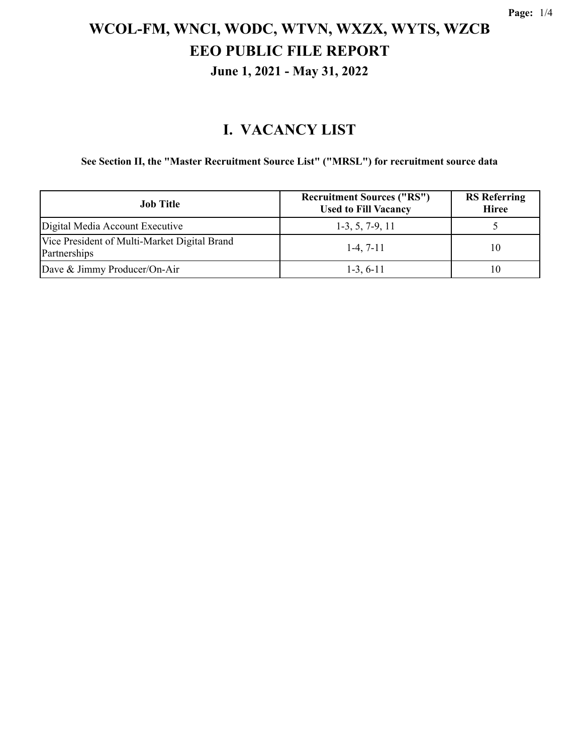#### **I. VACANCY LIST**

**See Section II, the "Master Recruitment Source List" ("MRSL") for recruitment source data**

| <b>Job</b> Title                                             | <b>Recruitment Sources ("RS")</b><br><b>Used to Fill Vacancy</b> | <b>RS</b> Referring<br><b>Hiree</b> |
|--------------------------------------------------------------|------------------------------------------------------------------|-------------------------------------|
| Digital Media Account Executive                              | $1-3, 5, 7-9, 11$                                                |                                     |
| Vice President of Multi-Market Digital Brand<br>Partnerships | $1-4, 7-11$                                                      | 10                                  |
| Dave & Jimmy Producer/On-Air                                 | $1-3, 6-11$                                                      | 10                                  |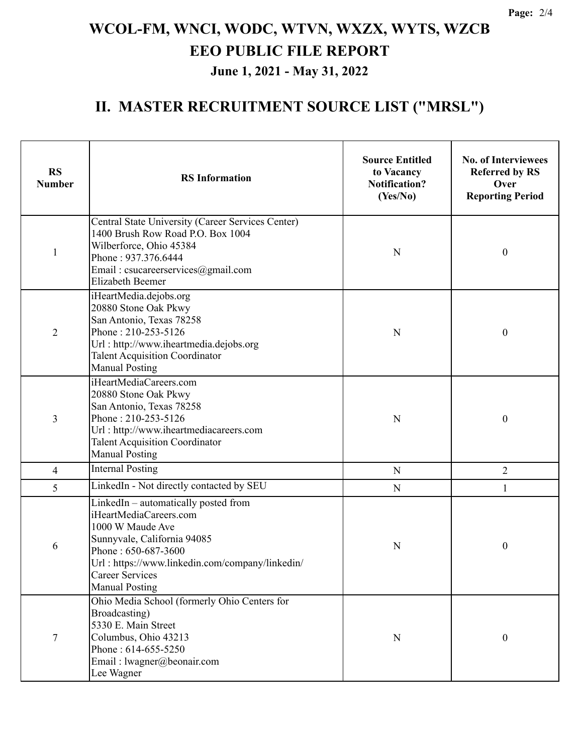#### **II. MASTER RECRUITMENT SOURCE LIST ("MRSL")**

| <b>RS</b><br><b>Number</b> | <b>RS</b> Information                                                                                                                                                                                                                          | <b>Source Entitled</b><br>to Vacancy<br><b>Notification?</b><br>(Yes/No) | <b>No. of Interviewees</b><br><b>Referred by RS</b><br>Over<br><b>Reporting Period</b> |  |
|----------------------------|------------------------------------------------------------------------------------------------------------------------------------------------------------------------------------------------------------------------------------------------|--------------------------------------------------------------------------|----------------------------------------------------------------------------------------|--|
| $\mathbf{1}$               | Central State University (Career Services Center)<br>1400 Brush Row Road P.O. Box 1004<br>Wilberforce, Ohio 45384<br>Phone: 937.376.6444<br>Email: csucareerservices@gmail.com<br>Elizabeth Beemer                                             | N                                                                        | $\boldsymbol{0}$                                                                       |  |
| $\overline{2}$             | iHeartMedia.dejobs.org<br>20880 Stone Oak Pkwy<br>San Antonio, Texas 78258<br>Phone: 210-253-5126<br>Url: http://www.iheartmedia.dejobs.org<br><b>Talent Acquisition Coordinator</b><br><b>Manual Posting</b>                                  | N                                                                        | $\mathbf{0}$                                                                           |  |
| 3                          | iHeartMediaCareers.com<br>20880 Stone Oak Pkwy<br>San Antonio, Texas 78258<br>Phone: 210-253-5126<br>Url: http://www.iheartmediacareers.com<br><b>Talent Acquisition Coordinator</b><br><b>Manual Posting</b>                                  | N                                                                        | $\boldsymbol{0}$                                                                       |  |
| $\overline{4}$             | <b>Internal Posting</b>                                                                                                                                                                                                                        | ${\bf N}$                                                                | $\overline{2}$                                                                         |  |
| 5                          | LinkedIn - Not directly contacted by SEU                                                                                                                                                                                                       | ${\bf N}$                                                                | 1                                                                                      |  |
| 6                          | LinkedIn - automatically posted from<br>iHeartMediaCareers.com<br>1000 W Maude Ave<br>Sunnyvale, California 94085<br>Phone: 650-687-3600<br>Url: https://www.linkedin.com/company/linkedin/<br><b>Career Services</b><br><b>Manual Posting</b> | N                                                                        | $\boldsymbol{0}$                                                                       |  |
| $\tau$                     | Ohio Media School (formerly Ohio Centers for<br>Broadcasting)<br>5330 E. Main Street<br>Columbus, Ohio 43213<br>Phone: 614-655-5250<br>Email: lwagner@beonair.com<br>Lee Wagner                                                                | N                                                                        | $\boldsymbol{0}$                                                                       |  |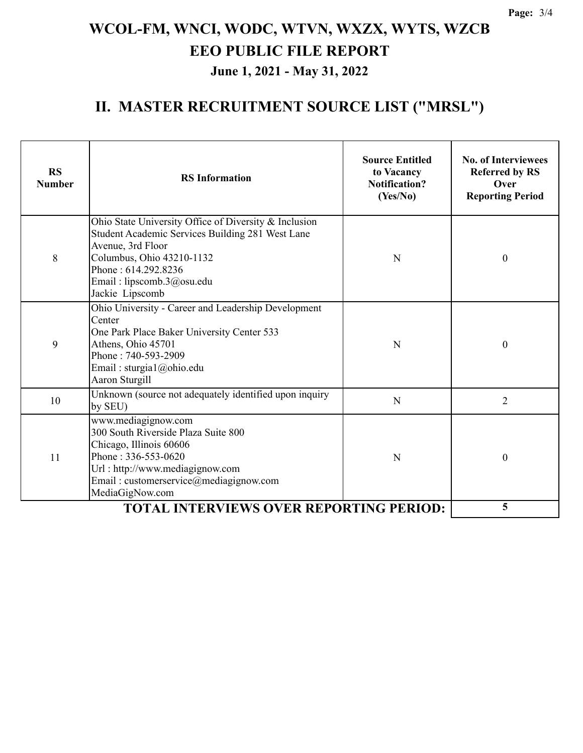#### **II. MASTER RECRUITMENT SOURCE LIST ("MRSL")**

| <b>RS</b><br><b>Number</b> | <b>RS</b> Information                                                                                                                                                                                                              | <b>Source Entitled</b><br>to Vacancy<br><b>Notification?</b><br>(Yes/No) | <b>No. of Interviewees</b><br><b>Referred by RS</b><br>Over<br><b>Reporting Period</b> |
|----------------------------|------------------------------------------------------------------------------------------------------------------------------------------------------------------------------------------------------------------------------------|--------------------------------------------------------------------------|----------------------------------------------------------------------------------------|
| 8                          | Ohio State University Office of Diversity & Inclusion<br>Student Academic Services Building 281 West Lane<br>Avenue, 3rd Floor<br>Columbus, Ohio 43210-1132<br>Phone: 614.292.8236<br>Email: lipscomb.3@osu.edu<br>Jackie Lipscomb | N                                                                        | $\theta$                                                                               |
| 9                          | Ohio University - Career and Leadership Development<br>Center<br>One Park Place Baker University Center 533<br>Athens, Ohio 45701<br>Phone: 740-593-2909<br>Email: sturgia $1$ ( $\omega$ ohio.edu<br>Aaron Sturgill               | N                                                                        | $\theta$                                                                               |
| 10                         | Unknown (source not adequately identified upon inquiry<br>N<br>by SEU)                                                                                                                                                             |                                                                          | $\overline{2}$                                                                         |
| 11                         | www.mediagignow.com<br>300 South Riverside Plaza Suite 800<br>Chicago, Illinois 60606<br>Phone: 336-553-0620<br>Url: http://www.mediagignow.com<br>Email: customerservice@mediagignow.com<br>MediaGigNow.com                       | N                                                                        | $\boldsymbol{0}$                                                                       |
|                            | 5                                                                                                                                                                                                                                  |                                                                          |                                                                                        |